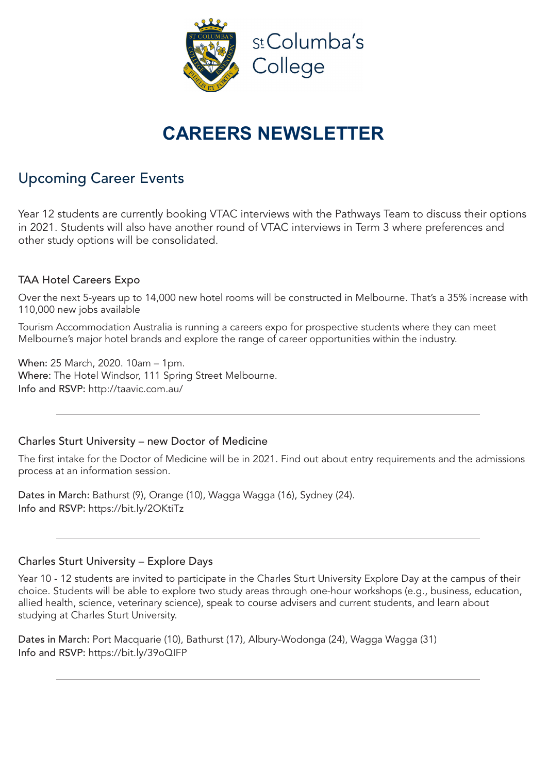

# **CAREERS NEWSLETTER**

## Upcoming Career Events

Year 12 students are currently booking VTAC interviews with the Pathways Team to discuss their options in 2021. Students will also have another round of VTAC interviews in Term 3 where preferences and other study options will be consolidated.

### TAA Hotel Careers Expo

Over the next 5-years up to 14,000 new hotel rooms will be constructed in Melbourne. That's a 35% increase with 110,000 new jobs available

Tourism Accommodation Australia is running a careers expo for prospective students where they can meet Melbourne's major hotel brands and explore the range of career opportunities within the industry.

When: 25 March, 2020. 10am – 1pm. Where: The Hotel Windsor, 111 Spring Street Melbourne. Info and RSVP: http://taavic.com.au/

### Charles Sturt University – new Doctor of Medicine

The first intake for the Doctor of Medicine will be in 2021. Find out about entry requirements and the admissions process at an information session.

Dates in March: Bathurst (9), Orange (10), Wagga Wagga (16), Sydney (24). Info and RSVP: https://bit.ly/2OKtiTz

#### Charles Sturt University – Explore Days

Year 10 - 12 students are invited to participate in the Charles Sturt University Explore Day at the campus of their choice. Students will be able to explore two study areas through one-hour workshops (e.g., business, education, allied health, science, veterinary science), speak to course advisers and current students, and learn about studying at Charles Sturt University.

Dates in March: Port Macquarie (10), Bathurst (17), Albury-Wodonga (24), Wagga Wagga (31) Info and RSVP: https://bit.ly/39oQIFP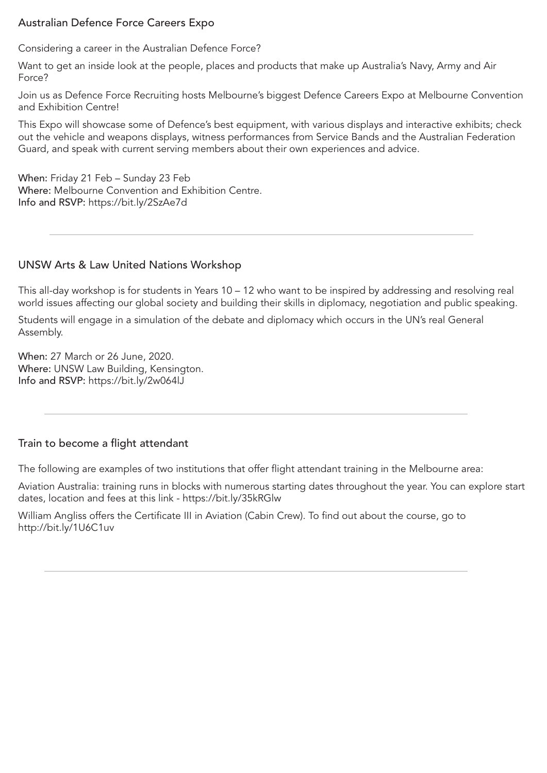### Australian Defence Force Careers Expo

Considering a career in the Australian Defence Force?

Want to get an inside look at the people, places and products that make up Australia's Navy, Army and Air Force?

Join us as Defence Force Recruiting hosts Melbourne's biggest Defence Careers Expo at Melbourne Convention and Exhibition Centre!

This Expo will showcase some of Defence's best equipment, with various displays and interactive exhibits; check out the vehicle and weapons displays, witness performances from Service Bands and the Australian Federation Guard, and speak with current serving members about their own experiences and advice.

When: Friday 21 Feb – Sunday 23 Feb Where: Melbourne Convention and Exhibition Centre. Info and RSVP: https://bit.ly/2SzAe7d

#### UNSW Arts & Law United Nations Workshop

This all-day workshop is for students in Years 10 – 12 who want to be inspired by addressing and resolving real world issues affecting our global society and building their skills in diplomacy, negotiation and public speaking.

Students will engage in a simulation of the debate and diplomacy which occurs in the UN's real General Assembly.

When: 27 March or 26 June, 2020. Where: UNSW Law Building, Kensington. Info and RSVP: https://bit.ly/2w064lJ

#### Train to become a flight attendant

The following are examples of two institutions that offer flight attendant training in the Melbourne area:

Aviation Australia: training runs in blocks with numerous starting dates throughout the year. You can explore start dates, location and fees at this link - https://bit.ly/35kRGlw

William Angliss offers the Certificate III in Aviation (Cabin Crew). To find out about the course, go to http://bit.ly/1U6C1uv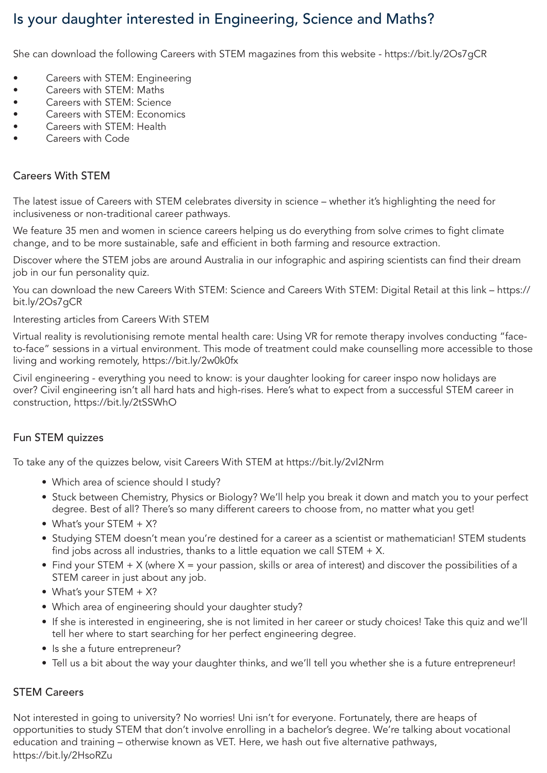# Is your daughter interested in Engineering, Science and Maths?

She can download the following Careers with STEM magazines from this website - https://bit.ly/2Os7gCR

- Careers with STEM: Engineering
- Careers with STEM: Maths
- Careers with STEM: Science
- Careers with STEM: Economics
- Careers with STEM: Health
- Careers with Code

#### Careers With STEM

The latest issue of Careers with STEM celebrates diversity in science – whether it's highlighting the need for inclusiveness or non-traditional career pathways.

We feature 35 men and women in science careers helping us do everything from solve crimes to fight climate change, and to be more sustainable, safe and efficient in both farming and resource extraction.

Discover where the STEM jobs are around Australia in our infographic and aspiring scientists can find their dream job in our fun personality quiz.

You can download the new Careers With STEM: Science and Careers With STEM: Digital Retail at this link – https:// bit.ly/2Os7gCR

Interesting articles from Careers With STEM

Virtual reality is revolutionising remote mental health care: Using VR for remote therapy involves conducting "faceto-face" sessions in a virtual environment. This mode of treatment could make counselling more accessible to those living and working remotely, https://bit.ly/2w0k0fx

Civil engineering - everything you need to know: is your daughter looking for career inspo now holidays are over? Civil engineering isn't all hard hats and high-rises. Here's what to expect from a successful STEM career in construction, https://bit.ly/2tSSWhO

### Fun STEM quizzes

To take any of the quizzes below, visit Careers With STEM at https://bit.ly/2vI2Nrm

- Which area of science should I study?
- Stuck between Chemistry, Physics or Biology? We'll help you break it down and match you to your perfect degree. Best of all? There's so many different careers to choose from, no matter what you get!
- What's your STEM  $+ X$ ?
- Studying STEM doesn't mean you're destined for a career as a scientist or mathematician! STEM students find jobs across all industries, thanks to a little equation we call STEM  $+ X$ .
- Find your STEM  $+ X$  (where  $X =$  your passion, skills or area of interest) and discover the possibilities of a STEM career in just about any job.
- What's your STEM  $+ X$ ?
- Which area of engineering should your daughter study?
- If she is interested in engineering, she is not limited in her career or study choices! Take this quiz and we'll tell her where to start searching for her perfect engineering degree.
- Is she a future entrepreneur?
- Tell us a bit about the way your daughter thinks, and we'll tell you whether she is a future entrepreneur!

#### STEM Careers

Not interested in going to university? No worries! Uni isn't for everyone. Fortunately, there are heaps of opportunities to study STEM that don't involve enrolling in a bachelor's degree. We're talking about vocational education and training – otherwise known as VET. Here, we hash out five alternative pathways, https://bit.ly/2HsoRZu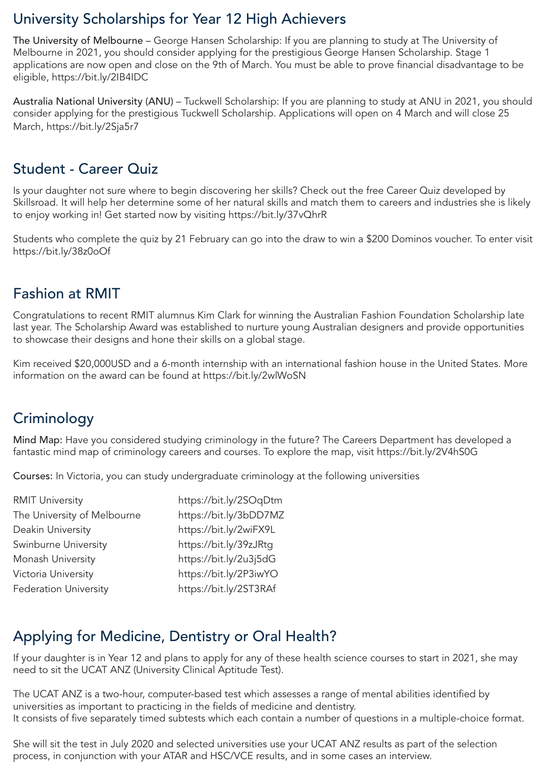# University Scholarships for Year 12 High Achievers

The University of Melbourne – George Hansen Scholarship: If you are planning to study at The University of Melbourne in 2021, you should consider applying for the prestigious George Hansen Scholarship. Stage 1 applications are now open and close on the 9th of March. You must be able to prove financial disadvantage to be eligible, https://bit.ly/2IB4IDC

Australia National University (ANU) – Tuckwell Scholarship: If you are planning to study at ANU in 2021, you should consider applying for the prestigious Tuckwell Scholarship. Applications will open on 4 March and will close 25 March, https://bit.ly/2Sja5r7

### Student - Career Quiz

Is your daughter not sure where to begin discovering her skills? Check out the free Career Quiz developed by Skillsroad. It will help her determine some of her natural skills and match them to careers and industries she is likely to enjoy working in! Get started now by visiting https://bit.ly/37vQhrR

Students who complete the quiz by 21 February can go into the draw to win a \$200 Dominos voucher. To enter visit https://bit.ly/38z0oOf

### Fashion at RMIT

Congratulations to recent RMIT alumnus Kim Clark for winning the Australian Fashion Foundation Scholarship late last year. The Scholarship Award was established to nurture young Australian designers and provide opportunities to showcase their designs and hone their skills on a global stage.

Kim received \$20,000USD and a 6-month internship with an international fashion house in the United States. More information on the award can be found at https://bit.ly/2wlWoSN

# **Criminology**

Mind Map: Have you considered studying criminology in the future? The Careers Department has developed a fantastic mind map of criminology careers and courses. To explore the map, visit https://bit.ly/2V4hS0G

Courses: In Victoria, you can study undergraduate criminology at the following universities

| <b>RMIT University</b>       | https://bit.ly/2SOqDtm |
|------------------------------|------------------------|
| The University of Melbourne  | https://bit.ly/3bDD7MZ |
| Deakin University            | https://bit.ly/2wiFX9L |
| Swinburne University         | https://bit.ly/39zJRtg |
| Monash University            | https://bit.ly/2u3j5dG |
| Victoria University          | https://bit.ly/2P3iwYO |
| <b>Federation University</b> | https://bit.ly/2ST3RAf |

# Applying for Medicine, Dentistry or Oral Health?

If your daughter is in Year 12 and plans to apply for any of these health science courses to start in 2021, she may need to sit the UCAT ANZ (University Clinical Aptitude Test).

The UCAT ANZ is a two-hour, computer-based test which assesses a range of mental abilities identified by universities as important to practicing in the fields of medicine and dentistry. It consists of five separately timed subtests which each contain a number of questions in a multiple-choice format.

She will sit the test in July 2020 and selected universities use your UCAT ANZ results as part of the selection process, in conjunction with your ATAR and HSC/VCE results, and in some cases an interview.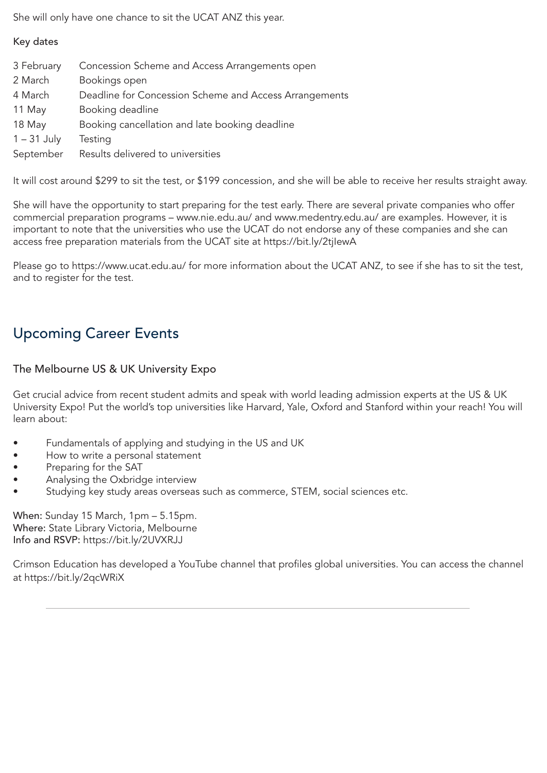She will only have one chance to sit the UCAT ANZ this year.

#### Key dates

| 3 February    | Concession Scheme and Access Arrangements open         |
|---------------|--------------------------------------------------------|
| 2 March       | Bookings open                                          |
| 4 March       | Deadline for Concession Scheme and Access Arrangements |
| 11 May        | Booking deadline                                       |
| 18 May        | Booking cancellation and late booking deadline         |
| $1 - 31$ July | Testing                                                |
| September     | Results delivered to universities                      |

It will cost around \$299 to sit the test, or \$199 concession, and she will be able to receive her results straight away.

She will have the opportunity to start preparing for the test early. There are several private companies who offer commercial preparation programs – www.nie.edu.au/ and www.medentry.edu.au/ are examples. However, it is important to note that the universities who use the UCAT do not endorse any of these companies and she can access free preparation materials from the UCAT site at https://bit.ly/2tjlewA

Please go to https://www.ucat.edu.au/ for more information about the UCAT ANZ, to see if she has to sit the test, and to register for the test.

# Upcoming Career Events

### The Melbourne US & UK University Expo

Get crucial advice from recent student admits and speak with world leading admission experts at the US & UK University Expo! Put the world's top universities like Harvard, Yale, Oxford and Stanford within your reach! You will learn about:

- Fundamentals of applying and studying in the US and UK
- How to write a personal statement
- Preparing for the SAT
- Analysing the Oxbridge interview
- Studying key study areas overseas such as commerce, STEM, social sciences etc.

When: Sunday 15 March, 1pm – 5.15pm. Where: State Library Victoria, Melbourne Info and RSVP: https://bit.ly/2UVXRJJ

Crimson Education has developed a YouTube channel that profiles global universities. You can access the channel at https://bit.ly/2qcWRiX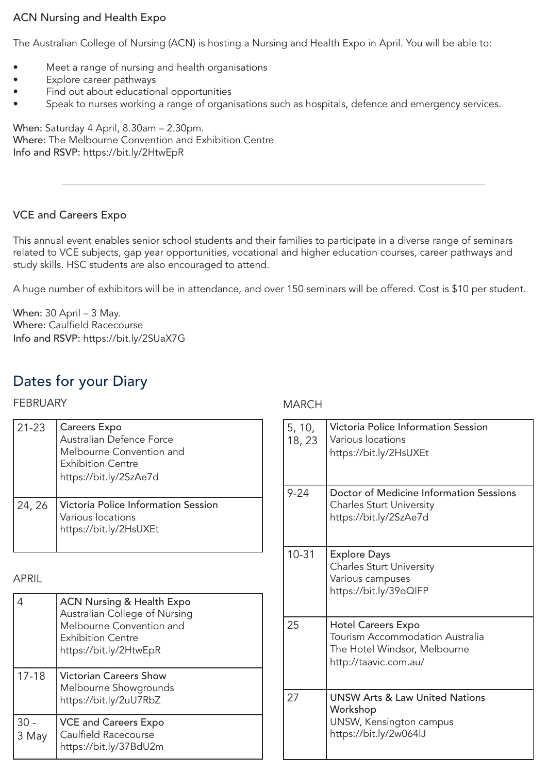### ACN Nursing and Health Expo

The Australian College of Nursing (ACN) is hosting a Nursing and Health Expo in April. You will be able to:

- Meet a range of nursing and health organisations
- Explore career pathways
- Find out about educational opportunities
- Speak to nurses working a range of organisations such as hospitals, defence and emergency services.

When: Saturday 4 April, 8.30am – 2.30pm. Where: The Melbourne Convention and Exhibition Centre Info and RSVP: https://bit.ly/2HtwEpR

### VCE and Careers Expo

This annual event enables senior school students and their families to participate in a diverse range of seminars related to VCE subjects, gap year opportunities, vocational and higher education courses, career pathways and study skills. HSC students are also encouraged to attend.

A huge number of exhibitors will be in attendance, and over 150 seminars will be offered. Cost is \$10 per student.

When: 30 April – 3 May. Where: Caulfield Racecourse Info and RSVP: https://bit.ly/2SUaX7G

## Dates for your Diary

#### FEBRUARY

| $21 - 23$ | <b>Careers Expo</b><br>Australian Defence Force<br>Melbourne Convention and<br><b>Exhibition Centre</b><br>https://bit.ly/2SzAe7d |
|-----------|-----------------------------------------------------------------------------------------------------------------------------------|
| 24, 26    | Victoria Police Information Session<br>Various locations<br>https://bit.ly/2HsUXEt                                                |

#### APRIL

|                 | <b>ACN Nursing &amp; Health Expo</b><br>Australian College of Nursing<br>Melbourne Convention and<br><b>Exhibition Centre</b><br>https://bit.ly/2HtwEpR |
|-----------------|---------------------------------------------------------------------------------------------------------------------------------------------------------|
| $17 - 18$       | <b>Victorian Careers Show</b><br>Melbourne Showgrounds<br>https://bit.ly/2uU7RbZ                                                                        |
| $30 -$<br>3 May | <b>VCE and Careers Expo</b><br>Caulfield Racecourse<br>https://bit.ly/37BdU2m                                                                           |

#### MARCH

| 5, 10,<br>18, 23 | Victoria Police Information Session<br>Various locations<br>https://bit.ly/2HsUXEt                                           |
|------------------|------------------------------------------------------------------------------------------------------------------------------|
| $9 - 24$         | Doctor of Medicine Information Sessions<br><b>Charles Sturt University</b><br>https://bit.ly/2SzAe7d                         |
| $10 - 31$        | <b>Explore Days</b><br><b>Charles Sturt University</b><br>Various campuses<br>https://bit.ly/39oQIFP                         |
| 25               | <b>Hotel Careers Expo</b><br><b>Tourism Accommodation Australia</b><br>The Hotel Windsor, Melbourne<br>http://taavic.com.au/ |
| 27               | <b>UNSW Arts &amp; Law United Nations</b><br>Workshop<br>UNSW, Kensington campus<br>https://bit.ly/2w064lJ                   |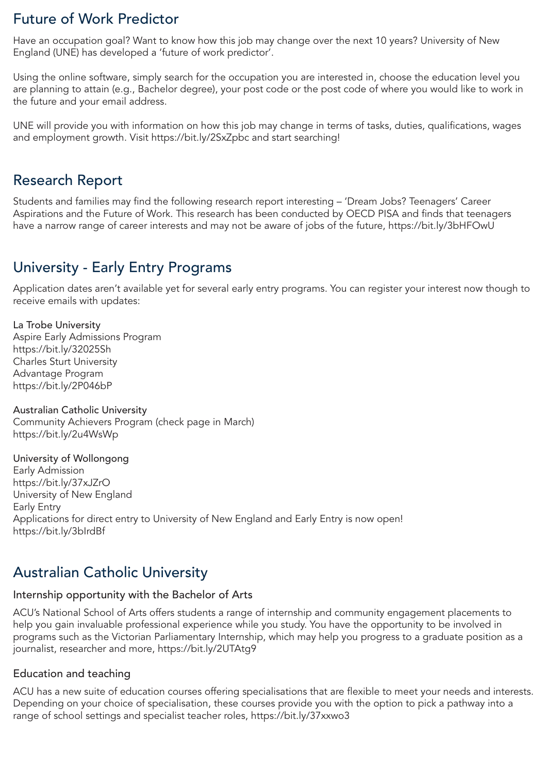### Future of Work Predictor

Have an occupation goal? Want to know how this job may change over the next 10 years? University of New England (UNE) has developed a 'future of work predictor'.

Using the online software, simply search for the occupation you are interested in, choose the education level you are planning to attain (e.g., Bachelor degree), your post code or the post code of where you would like to work in the future and your email address.

UNE will provide you with information on how this job may change in terms of tasks, duties, qualifications, wages and employment growth. Visit https://bit.ly/2SxZpbc and start searching!

### Research Report

Students and families may find the following research report interesting – 'Dream Jobs? Teenagers' Career Aspirations and the Future of Work. This research has been conducted by OECD PISA and finds that teenagers have a narrow range of career interests and may not be aware of jobs of the future, https://bit.ly/3bHFOwU

### University - Early Entry Programs

Application dates aren't available yet for several early entry programs. You can register your interest now though to receive emails with updates:

La Trobe University Aspire Early Admissions Program https://bit.ly/32025Sh Charles Sturt University Advantage Program https://bit.ly/2P046bP

Australian Catholic University Community Achievers Program (check page in March) https://bit.ly/2u4WsWp

University of Wollongong Early Admission https://bit.ly/37xJZrO University of New England Early Entry Applications for direct entry to University of New England and Early Entry is now open! https://bit.ly/3bIrdBf

### Australian Catholic University

#### Internship opportunity with the Bachelor of Arts

ACU's National School of Arts offers students a range of internship and community engagement placements to help you gain invaluable professional experience while you study. You have the opportunity to be involved in programs such as the Victorian Parliamentary Internship, which may help you progress to a graduate position as a journalist, researcher and more, https://bit.ly/2UTAtq9

#### Education and teaching

ACU has a new suite of education courses offering specialisations that are flexible to meet your needs and interests. Depending on your choice of specialisation, these courses provide you with the option to pick a pathway into a range of school settings and specialist teacher roles, https://bit.ly/37xxwo3